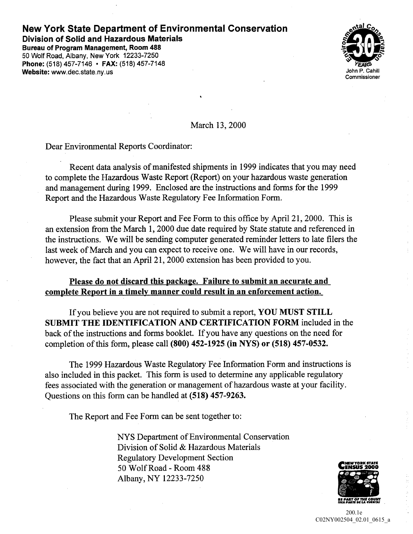## New York State Department of Environmental Conservation Division of Solid and Hazardous Materials

Bureau of Program Management, Room 488 50 Wolf Road, Albany, New York 12233-7250 Phone: (518) 457-7146 • FAX: (518) 457-7148 Website: www.dec.state.ny.us



March 13, 2000

Dear Environmental Reports Coordinator

Recent data analysis of manifested shipments in <sup>1999</sup> indicates that you may need to complete the Hazardous Waste Report (Report) on your hazardous waste generation and management during <sup>1999</sup> Enclosed are the instructions and forms for the <sup>1999</sup> Report and the Hazardous Waste Regulatory Fee Information Form

Please submit your Report and Fee Form to this office by April 21, 2000. This is an extension from the March 1, 2000 due date required by State statute and referenced in the instructions. We will be sending computer generated reminder letters to late filers the last week of March and you can expect to receive one. We will have in our records, however, the fact that an April 21, 2000 extension has been provided to you.

## Please do not discard this package. Failure to submit an accurate and complete Report in a timely manner could result in an enforcement action.

If you believe you are not required to submit a report, YOU MUST STILL SUBMIT THE IDENTIFICATION AND CERTIFICATIONFORM included in the back of the instructions and forms booklet. If you have any questions on the need for completion of this form, please call  $(800)$  452-1925 (in NYS) or  $(518)$  457-0532.

The <sup>1999</sup> Hazardous Waste Regulatory Fee Information Form and instructions is also included in this packet. This form is used to determine any applicable regulatory fees associated with the generation or management of hazardous waste at your facility Questions on this form can be handled at (518) 457-9263.

The Report and Fee Form can be sent together to

NYS Department of Environmental Conservation Division of Solid & Hazardous Materials Regulatory Development Section 50 Wolf Road - Room 488 Albany, NY 12233-7250



PROJ\_03 <sup>97</sup> 200.1e C02NY002504\_02.01\_0615\_a